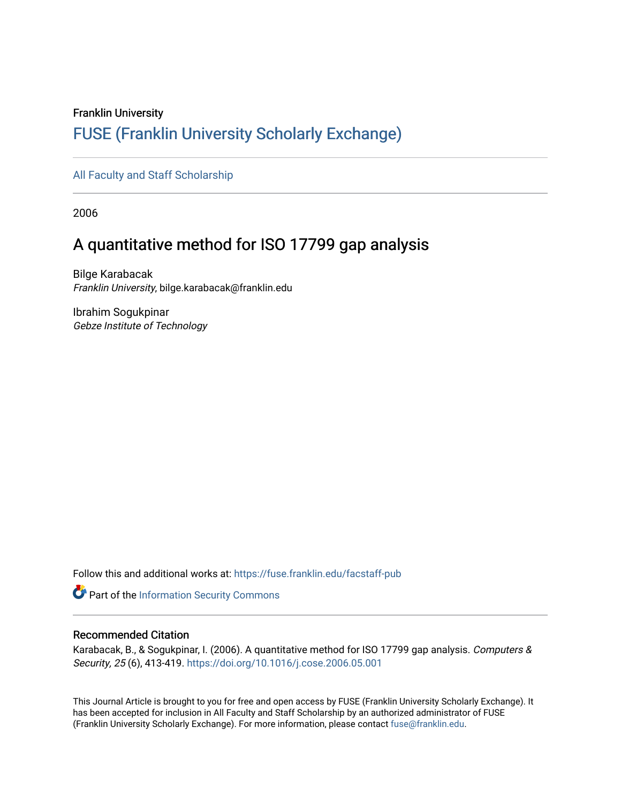# Franklin University [FUSE \(Franklin University Scholarly Exchange\)](https://fuse.franklin.edu/)

[All Faculty and Staff Scholarship](https://fuse.franklin.edu/facstaff-pub)

2006

# A quantitative method for ISO 17799 gap analysis

Bilge Karabacak Franklin University, bilge.karabacak@franklin.edu

Ibrahim Sogukpinar Gebze Institute of Technology

Follow this and additional works at: [https://fuse.franklin.edu/facstaff-pub](https://fuse.franklin.edu/facstaff-pub?utm_source=fuse.franklin.edu%2Ffacstaff-pub%2F34&utm_medium=PDF&utm_campaign=PDFCoverPages) 

Part of the [Information Security Commons](https://network.bepress.com/hgg/discipline/1247?utm_source=fuse.franklin.edu%2Ffacstaff-pub%2F34&utm_medium=PDF&utm_campaign=PDFCoverPages) 

## Recommended Citation

Karabacak, B., & Sogukpinar, I. (2006). A quantitative method for ISO 17799 gap analysis. Computers & Security, 25 (6), 413-419.<https://doi.org/10.1016/j.cose.2006.05.001>

This Journal Article is brought to you for free and open access by FUSE (Franklin University Scholarly Exchange). It has been accepted for inclusion in All Faculty and Staff Scholarship by an authorized administrator of FUSE (Franklin University Scholarly Exchange). For more information, please contact [fuse@franklin.edu.](mailto:fuse@franklin.edu)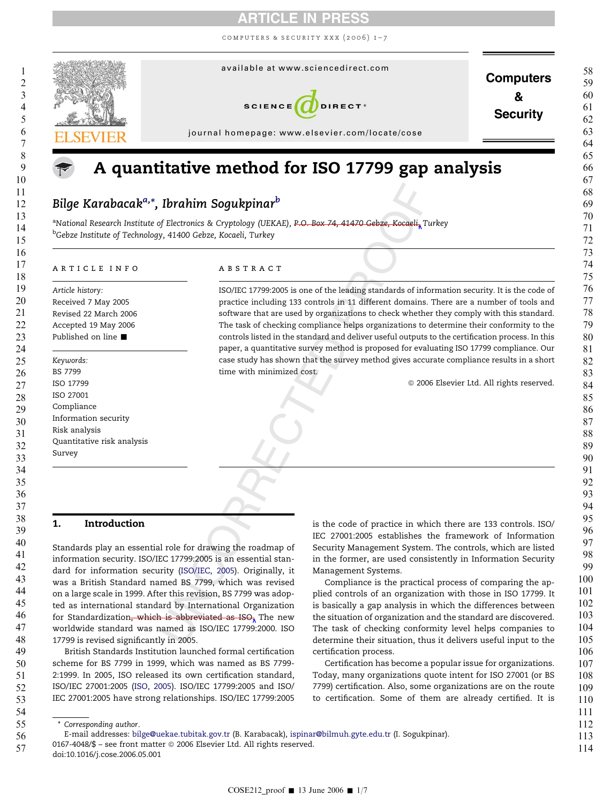computers & security xxx (2006) 1–7



# A quantitative method for ISO 17799 gap analysis

## Bilge Karabacak<sup>a,</sup>\*, Ibrahim Sogukpinar<sup>b</sup>

<sup>a</sup>National Research Institute of Electronics & Cryptology (UEKAE), <del>P.O. Box 74, 41470 Gebze, Kocaeli<sub>n</sub> T</del>urkey <sup>b</sup>Gebze Institute of Technology, 41400 Gebze, Kocaeli, Turkey

#### article info

Article history: Received 7 May 2005 Revised 22 March 2006 Accepted 19 May 2006 Published on line *-* Keywords: BS 7799 ISO 17799 ISO 27001 Compliance Information security Risk analysis Quantitative risk analysis Survey

#### **ABSTRACT**

**Ibrahim Sogukpinan<sup>b</sup>**<br>
of Electronics & [C](#page-7-0)ryptology (UEKAE), P.O.-Box-74, 41470-Gebze, Kocaeli, T.<br>
0. 41400 Gebze, Kocaeli, Turkey<br>
A B S T R A C T<br>
ISO/IEC 17799:2005 is one of the leading standards of inferenties incl ISO/IEC 17799:2005 is one of the leading standards of information security. It is the code of practice including 133 controls in 11 different domains. There are a number of tools and software that are used by organizations to check whether they comply with this standard. The task of checking compliance helps organizations to determine their conformity to the controls listed in the standard and deliver useful outputs to the certification process. In this paper, a quantitative survey method is proposed for evaluating ISO 17799 compliance. Our case study has shown that the survey method gives accurate compliance results in a short time with minimized cost.

 $@$  2006 Elsevier Ltd. All rights reserved.

## 1. Introduction

Standards play an essential role for drawing the roadmap of information security. ISO/IEC 17799:2005 is an essential standard for information security (ISO/IEC, 2005). Originally, it was a British Standard named BS 7799, which was revised on a large scale in 1999. After this revision, BS 7799 was adopted as international standard by International Organization for Standardization, which is abbreviated as  $ISO<sub>x</sub>$  The new worldwide standard was named as ISO/IEC 17799:2000. ISO 17799 is revised significantly in 2005.

British Standards Institution launched formal certification scheme for BS 7799 in 1999, which was named as BS 7799- 2:1999. In 2005, ISO released its own certification standard, ISO/IEC 27001:2005 ([ISO, 2005](#page-7-0)). ISO/IEC 17799:2005 and ISO/ IEC 27001:2005 have strong relationships. ISO/IEC 17799:2005

is the code of practice in which there are 133 controls. ISO/ IEC 27001:2005 establishes the framework of Information Security Management System. The controls, which are listed in the former, are used consistently in Information Security Management Systems.

Compliance is the practical process of comparing the applied controls of an organization with those in ISO 17799. It is basically a gap analysis in which the differences between the situation of organization and the standard are discovered. The task of checking conformity level helps companies to determine their situation, thus it delivers useful input to the certification process.

Certification has become a popular issue for organizations. Today, many organizations quote intent for ISO 27001 (or BS 7799) certification. Also, some organizations are on the route to certification. Some of them are already certified. It is

| * Corresponding author. |  |
|-------------------------|--|
|                         |  |

57 doi:10.1016/j.cose.2006.05.001

E-mail addresses: [bilge@uekae.tubitak.gov.tr](mailto:ispinar@bilmuh.gyte.edu.tr) (B. Karabacak), [ispinar@bilmuh.gyte.edu.tr](mailto:ispinar@bilmuh.gyte.edu.tr) (I. Sogukpinar).

<sup>0167-4048/\$ –</sup> see front matter  $\odot$  2006 Elsevier Ltd. All rights reserved.  $114$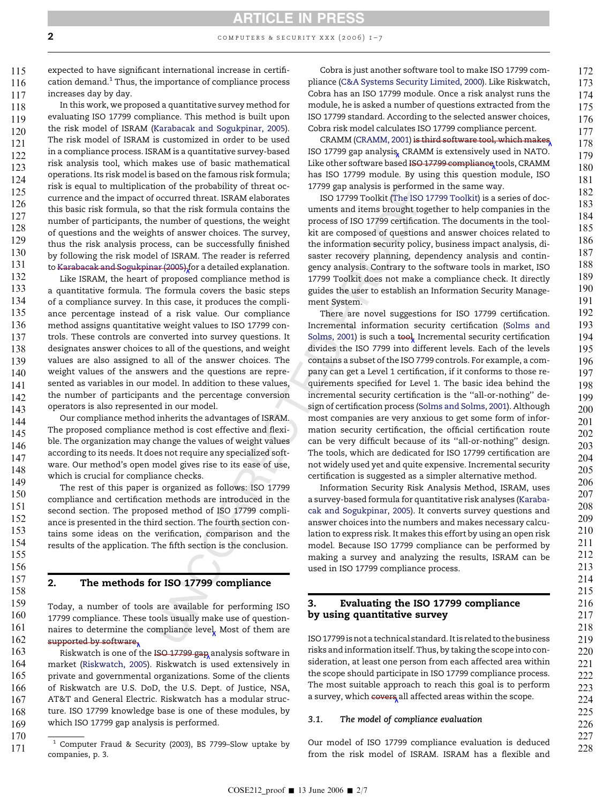expected to have significant international increase in certification demand. $1$  Thus, the importance of compliance process increases day by day. 115 116 117

In this work, we proposed a quantitative survey method for evaluating ISO 17799 compliance. This method is built upon the risk model of ISRAM ([Karabacak and Sogukpinar, 2005\)](#page-7-0). The risk model of ISRAM is customized in order to be used in a compliance process. ISRAM is a quantitative survey-based risk analysis tool, which makes use of basic mathematical operations. Its risk model is based on the famous risk formula; risk is equal to multiplication of the probability of threat occurrence and the impact of occurred threat. ISRAM elaborates this basic risk formula, so that the risk formula contains the number of participants, the number of questions, the weight of questions and the weights of answer choices. The survey, thus the risk analysis process, can be successfully finished by following the risk model of ISRAM. The reader is referred to [Karabacak and Sogukpinar \(2005\)](#page-7-0) for a detailed explanation. 2<br>
expected to have significant increments a vertex wave (2006) 1–7<br>
expected to have significant incremental concerning incremental concerning (EdAS Spie maintain concerning to the security concerning concerning to the s 118 119 120 121 122 123 124 125 126 127 128 129 130 131

Like ISRAM, the heart of proposed compliance method is a quantitative formula. The formula covers the basic steps of a compliance survey. In this case, it produces the compliance percentage instead of a risk value. Our compliance method assigns quantitative weight values to ISO 17799 controls. These controls are converted into survey questions. It designates answer choices to all of the questions, and weight values are also assigned to all of the answer choices. The weight values of the answers and the questions are represented as variables in our model. In addition to these values, the number of participants and the percentage conversion operators is also represented in our model. 132 133 134 135 136 137 138 139 140 141 142 143

Our compliance method inherits the advantages of ISRAM. The proposed compliance method is cost effective and flexible. The organization may change the values of weight values according to its needs. It does not require any specialized software. Our method's open model gives rise to its ease of use, which is crucial for compliance checks. 144 145 146 147 148 149

The rest of this paper is organized as follows: ISO 17799 compliance and certification methods are introduced in the second section. The proposed method of ISO 17799 compliance is presented in the third section. The fourth section contains some ideas on the verification, comparison and the results of the application. The fifth section is the conclusion. 150 151 152 153 154 155

157

156

158

## 2. The methods for ISO 17799 compliance

Today, a number of tools are available for performing ISO 17799 compliance. These tools usually make use of questionnaires to determine the compliance level. Most of them are supported by software, 159 160 161 162

Riskwatch is one of the ISO 17799 gap analysis software in market ([Riskwatch, 2005](#page-7-0)). Riskwatch is used extensively in private and governmental organizations. Some of the clients of Riskwatch are U.S. DoD, the U.S. Dept. of Justice, NSA, AT&T and General Electric. Riskwatch has a modular structure. ISO 17799 knowledge base is one of these modules, by which ISO 17799 gap analysis is performed. 163 164 165 166 167 168 169

170

 $1$  Computer Fraud & Security (2003), BS 7799-Slow uptake by 171

Cobra is just another software tool to make ISO 17799 compliance [\(C&A Systems Security Limited, 2000](#page-7-0)). Like Riskwatch, Cobra has an ISO 17799 module. Once a risk analyst runs the module, he is asked a number of questions extracted from the ISO 17799 standard. According to the selected answer choices, Cobra risk model calculates ISO 17799 compliance percent.

CRAMM ([CRAMM, 2001](#page-7-0)) is third software tool, which makes ISO 17799 gap analysis. CRAMM is extensively used in NATO. Like other software based ISO 17799 compliance tools, CRAMM has ISO 17799 module. By using this question module, ISO 17799 gap analysis is performed in the same way.

ISO 17799 Toolkit ([The ISO 17799 Toolkit](#page-7-0)) is a series of documents and items brought together to help companies in the process of ISO 17799 certification. The documents in the toolkit are composed of questions and answer choices related to the information security policy, business impact analysis, disaster recovery planning, dependency analysis and contingency analysis. Contrary to the software tools in market, ISO 17799 Toolkit does not make a compliance check. It directly guides the user to establish an Information Security Management System.

ion of the probability of threat oc-<br>1799 groad and spectrom<br>of occurred threat DSAM elaborates [SO 21799 Troolkit (The ISO<br>16 occurred threat. ISRAM elaborates and tems brought top<br>that the risk formula contains the nume There are novel suggestions for ISO 17799 certification. Incremental information security certification ([Solms and](#page-7-0) [Solms, 2001\)](#page-7-0) is such a tool. Incremental security certification divides the ISO 7799 into different levels. Each of the levels contains a subset of the ISO 7799 controls. For example, a company can get a Level 1 certification, if it conforms to those requirements specified for Level 1. The basic idea behind the incremental security certification is the ''all-or-nothing'' design of certification process ([Solms and Solms, 2001\)](#page-7-0). Although most companies are very anxious to get some form of information security certification, the official certification route can be very difficult because of its ''all-or-nothing'' design. The tools, which are dedicated for ISO 17799 certification are not widely used yet and quite expensive. Incremental security certification is suggested as a simpler alternative method.

Information Security Risk Analysis Method, ISRAM, uses a survey-based formula for quantitative risk analyses ([Karaba](#page-7-0)[cak and Sogukpinar, 2005\)](#page-7-0). It converts survey questions and answer choices into the numbers and makes necessary calculation to express risk. It makes this effort by using an open risk model. Because ISO 17799 compliance can be performed by making a survey and analyzing the results, ISRAM can be used in ISO 17799 compliance process.

## 3. Evaluating the ISO 17799 compliance by using quantitative survey

ISO 17799 is not a technical standard. It is related to the business risks and information itself. Thus, by taking the scope into consideration, at least one person from each affected area within the scope should participate in ISO 17799 compliance process. The most suitable approach to reach this goal is to perform a survey, which covers all affected areas within the scope.

## 3.1. The model of compliance evaluation

Our model of ISO 17799 compliance evaluation is deduced from the risk model of ISRAM. ISRAM has a flexible and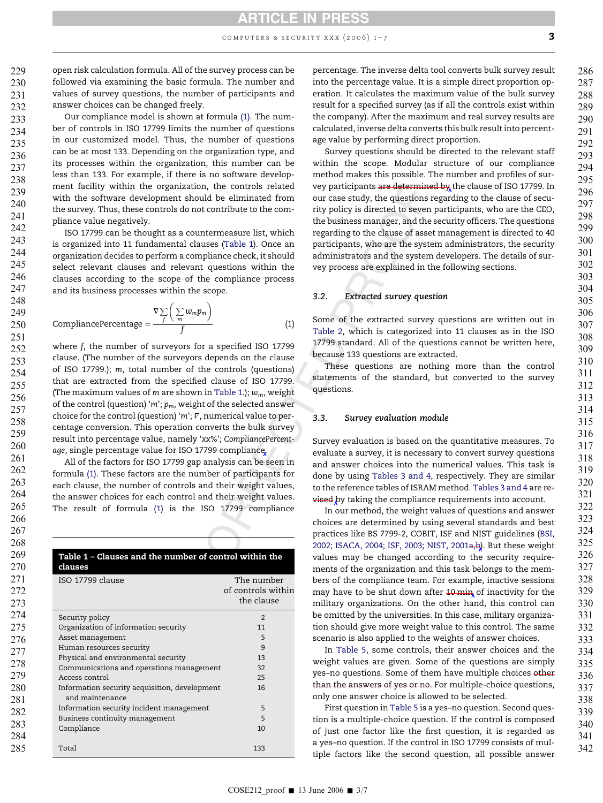# ARTICLE IN PRESS

computers & security xxx (2006) 1–7

open risk calculation formula. All of the survey process can be followed via examining the basic formula. The number and values of survey questions, the number of participants and answer choices can be changed freely. 229 230 231 232

Our compliance model is shown at formula (1). The number of controls in ISO 17799 limits the number of questions in our customized model. Thus, the number of questions can be at most 133. Depending on the organization type, and its processes within the organization, this number can be less than 133. For example, if there is no software development facility within the organization, the controls related with the software development should be eliminated from the survey. Thus, these controls do not contribute to the compliance value negatively. 233 234 235 236 237 238 239 240 241 242

ISO 17799 can be thought as a countermeasure list, which is organized into 11 fundamental clauses (Table 1). Once an organization decides to perform a compliance check, it should select relevant clauses and relevant questions within the clauses according to the scope of the compliance process and its business processes within the scope.

$$
CompleancePercentage = \frac{\nabla \sum_{f} \left( \sum_{m} w_{m} p_{m} \right)}{f}
$$
 (1)

organization, the controls related way participants are determinion<br>the cause of the controls and the controls of the dimension of the summer than the dimension of the control text of the summer that a countermeasure list where f, the number of surveyors for a specified ISO 17799 clause. (The number of the surveyors depends on the clause of ISO 17799.); m, total number of the controls (questions) that are extracted from the specified clause of ISO 17799. (The maximum values of  $m$  are shown in Table 1.);  $w_m$ , weight of the control (question) 'm';  $p_m$ , weight of the selected answer choice for the control (question) ' m'; *V*, numerical value to percentage conversion. This operation converts the bulk survey result into percentage value, namely 'xx%'; CompliancePercentage, single percentage value for ISO 17799 compliance.

All of the factors for ISO 17799 gap analysis can be seen in formula (1). These factors are the number of participants for each clause, the number of controls and their weight values, the answer choices for each control and their weight values. The result of formula (1) is the ISO 17799 compliance

| 268               |                                                                  |                                                |
|-------------------|------------------------------------------------------------------|------------------------------------------------|
| 269               | Table 1 - Clauses and the number of control within the           |                                                |
| 270               | clauses                                                          |                                                |
| 271<br>272<br>273 | ISO 17799 clause                                                 | The number<br>of controls within<br>the clause |
| 274               | Security policy                                                  | $\overline{2}$                                 |
| 275               | Organization of information security                             | 11                                             |
| 276               | Asset management                                                 | 5                                              |
| 277               | Human resources security                                         | 9                                              |
| 278               | Physical and environmental security                              | 13                                             |
|                   | Communications and operations management                         | 32                                             |
| 279               | Access control                                                   | 25                                             |
| 280<br>281        | Information security acquisition, development<br>and maintenance | 16                                             |
| 282               | Information security incident management                         | 5                                              |
| 283               | Business continuity management                                   | 5                                              |
| 284               | Compliance                                                       | 10                                             |
| 285               | Total                                                            | 133                                            |

percentage. The inverse delta tool converts bulk survey result into the percentage value. It is a simple direct proportion operation. It calculates the maximum value of the bulk survey result for a specified survey (as if all the controls exist within the company). After the maximum and real survey results are calculated, inverse delta converts this bulk result into percentage value by performing direct proportion.

Survey questions should be directed to the relevant staff within the scope. Modular structure of our compliance method makes this possible. The number and profiles of survey participants are determined by the clause of ISO 17799. In our case study, the questions regarding to the clause of security policy is directed to seven participants, who are the CEO, the business manager, and the security officers. The questions regarding to the clause of asset management is directed to 40 participants, who are the system administrators, the security administrators and the system developers. The details of survey process are explained in the following sections.

#### 3.2. Extracted survey question

Some of the extracted survey questions are written out in [Table 2](#page-4-0), which is categorized into 11 clauses as in the ISO 17799 standard. All of the questions cannot be written here, because 133 questions are extracted.

These questions are nothing more than the control statements of the standard, but converted to the survey questions.

#### 3.3. Survey evaluation module

Survey evaluation is based on the quantitative measures. To evaluate a survey, it is necessary to convert survey questions and answer choices into the numerical values. This task is done by using [Tables 3 and 4,](#page-5-0) respectively. They are similar to the reference tables of ISRAM method. [Tables 3 and 4](#page-5-0) are revised by taking the compliance requirements into account.

In our method, the weight values of questions and answer choices are determined by using several standards and best practices like BS 7799-2, COBIT, ISF and NIST guidelines [\(BSI,](#page-7-0) [2002; ISACA, 2004; ISF, 2003; NIST, 2001a,b\)](#page-7-0). But these weight values may be changed according to the security requirements of the organization and this task belongs to the members of the compliance team. For example, inactive sessions may have to be shut down after 10 min of inactivity for the military organizations. On the other hand, this control can be omitted by the universities. In this case, military organization should give more weight value to this control. The same scenario is also applied to the weights of answer choices.

In [Table 5,](#page-5-0) some controls, their answer choices and the weight values are given. Some of the questions are simply yes–no questions. Some of them have multiple choices other than the answers of yes or no. For multiple-choice questions, only one answer choice is allowed to be selected.

First question in [Table 5](#page-5-0) is a yes–no question. Second question is a multiple-choice question. If the control is composed of just one factor like the first question, it is regarded as a yes–no question. If the control in ISO 17799 consists of multiple factors like the second question, all possible answer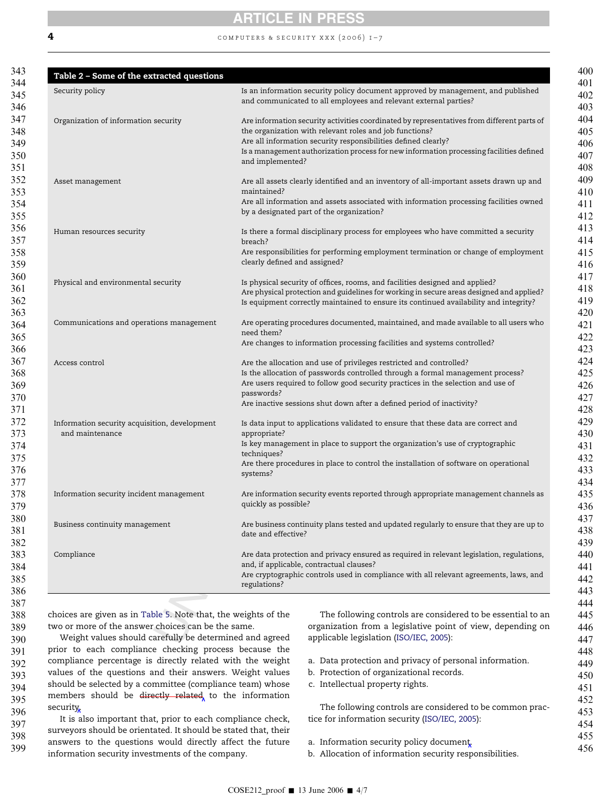<span id="page-4-0"></span>

# ARTICLE IN PRESS

### **4** computers & SECURITY XXX (2006)  $I - 7$

| Organization of information security<br>Asset management<br>Human resources security | Are information security activities coordinated by representatives from different parts of<br>the organization with relevant roles and job functions?<br>Are all information security responsibilities defined clearly?<br>and implemented?<br>Are all assets clearly identified and an inventory of all-important assets drawn up and<br>maintained?<br>by a designated part of the organization?<br>Is there a formal disciplinary process for employees who have committed a security<br>breach? |
|--------------------------------------------------------------------------------------|-----------------------------------------------------------------------------------------------------------------------------------------------------------------------------------------------------------------------------------------------------------------------------------------------------------------------------------------------------------------------------------------------------------------------------------------------------------------------------------------------------|
|                                                                                      | Is a management authorization process for new information processing facilities defined<br>Are all information and assets associated with information processing facilities owned                                                                                                                                                                                                                                                                                                                   |
|                                                                                      |                                                                                                                                                                                                                                                                                                                                                                                                                                                                                                     |
|                                                                                      |                                                                                                                                                                                                                                                                                                                                                                                                                                                                                                     |
|                                                                                      |                                                                                                                                                                                                                                                                                                                                                                                                                                                                                                     |
|                                                                                      |                                                                                                                                                                                                                                                                                                                                                                                                                                                                                                     |
|                                                                                      |                                                                                                                                                                                                                                                                                                                                                                                                                                                                                                     |
|                                                                                      |                                                                                                                                                                                                                                                                                                                                                                                                                                                                                                     |
|                                                                                      |                                                                                                                                                                                                                                                                                                                                                                                                                                                                                                     |
|                                                                                      |                                                                                                                                                                                                                                                                                                                                                                                                                                                                                                     |
|                                                                                      | Are responsibilities for performing employment termination or change of employment                                                                                                                                                                                                                                                                                                                                                                                                                  |
|                                                                                      | clearly defined and assigned?                                                                                                                                                                                                                                                                                                                                                                                                                                                                       |
|                                                                                      |                                                                                                                                                                                                                                                                                                                                                                                                                                                                                                     |
| Physical and environmental security                                                  | Is physical security of offices, rooms, and facilities designed and applied?                                                                                                                                                                                                                                                                                                                                                                                                                        |
|                                                                                      | Are physical protection and guidelines for working in secure areas designed and applied?<br>Is equipment correctly maintained to ensure its continued availability and integrity?                                                                                                                                                                                                                                                                                                                   |
|                                                                                      |                                                                                                                                                                                                                                                                                                                                                                                                                                                                                                     |
| Communications and operations management                                             | Are operating procedures documented, maintained, and made available to all users who                                                                                                                                                                                                                                                                                                                                                                                                                |
|                                                                                      | need them?                                                                                                                                                                                                                                                                                                                                                                                                                                                                                          |
|                                                                                      | Are changes to information processing facilities and systems controlled?                                                                                                                                                                                                                                                                                                                                                                                                                            |
| Access control                                                                       |                                                                                                                                                                                                                                                                                                                                                                                                                                                                                                     |
|                                                                                      | Are the allocation and use of privileges restricted and controlled?<br>Is the allocation of passwords controlled through a formal management process?                                                                                                                                                                                                                                                                                                                                               |
|                                                                                      | Are users required to follow good security practices in the selection and use of                                                                                                                                                                                                                                                                                                                                                                                                                    |
|                                                                                      | passwords?                                                                                                                                                                                                                                                                                                                                                                                                                                                                                          |
|                                                                                      | Are inactive sessions shut down after a defined period of inactivity?                                                                                                                                                                                                                                                                                                                                                                                                                               |
|                                                                                      |                                                                                                                                                                                                                                                                                                                                                                                                                                                                                                     |
| Information security acquisition, development<br>and maintenance                     | Is data input to applications validated to ensure that these data are correct and<br>appropriate?                                                                                                                                                                                                                                                                                                                                                                                                   |
|                                                                                      | Is key management in place to support the organization's use of cryptographic                                                                                                                                                                                                                                                                                                                                                                                                                       |
|                                                                                      | techniques?                                                                                                                                                                                                                                                                                                                                                                                                                                                                                         |
|                                                                                      | Are there procedures in place to control the installation of software on operational                                                                                                                                                                                                                                                                                                                                                                                                                |
|                                                                                      | systems?                                                                                                                                                                                                                                                                                                                                                                                                                                                                                            |
|                                                                                      |                                                                                                                                                                                                                                                                                                                                                                                                                                                                                                     |
| Information security incident management                                             | Are information security events reported through appropriate management channels as<br>quickly as possible?                                                                                                                                                                                                                                                                                                                                                                                         |
|                                                                                      |                                                                                                                                                                                                                                                                                                                                                                                                                                                                                                     |
| Business continuity management                                                       | Are business continuity plans tested and updated regularly to ensure that they are up to                                                                                                                                                                                                                                                                                                                                                                                                            |
|                                                                                      | date and effective?                                                                                                                                                                                                                                                                                                                                                                                                                                                                                 |
|                                                                                      |                                                                                                                                                                                                                                                                                                                                                                                                                                                                                                     |
| Compliance                                                                           | Are data protection and privacy ensured as required in relevant legislation, regulations,<br>and, if applicable, contractual clauses?                                                                                                                                                                                                                                                                                                                                                               |
|                                                                                      | Are cryptographic controls used in compliance with all relevant agreements, laws, and                                                                                                                                                                                                                                                                                                                                                                                                               |
|                                                                                      | regulations?                                                                                                                                                                                                                                                                                                                                                                                                                                                                                        |
|                                                                                      |                                                                                                                                                                                                                                                                                                                                                                                                                                                                                                     |

Weight values should carefully be determined and agreed prior to each compliance checking process because the compliance percentage is directly related with the weight values of the questions and their answers. Weight values should be selected by a committee (compliance team) whose members should be directly related to the information security. 390 391 392 393 394 395 396

It is also important that, prior to each compliance check, surveyors should be orientated. It should be stated that, their answers to the questions would directly affect the future information security investments of the company. 397 398 399

- a. Data protection and privacy of personal information.
- b. Protection of organizational records.
- c. Intellectual property rights.

The following controls are considered to be common practice for information security ([ISO/IEC, 2005\)](#page-7-0):

a. Information security policy document 455 456

b. Allocation of information security responsibilities.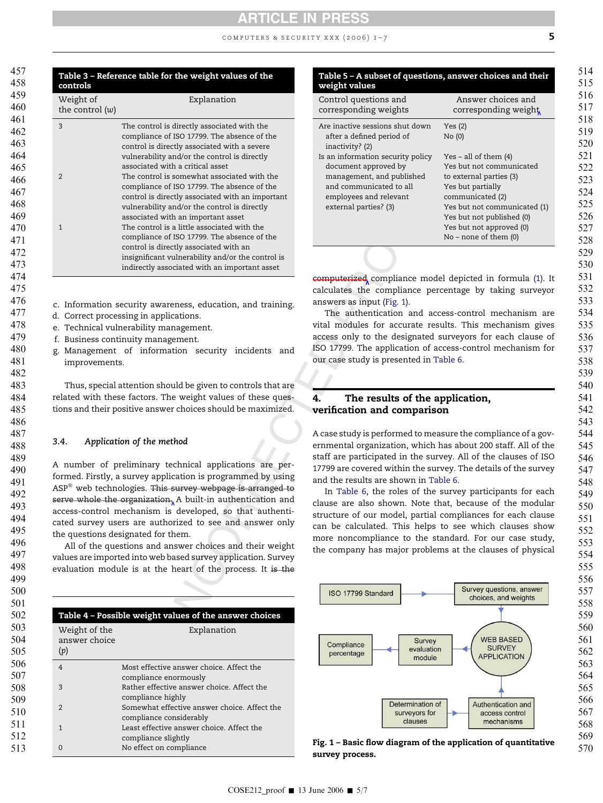#### computers & security xxx (2006) 1–7

<span id="page-5-0"></span>

| controls                       | Table 3 - Reference table for the weight values of the                                                                                                                                                                                                                                                                                                                                                                                                                                                                                                                                                                    | Table 5 - A subset of questio<br>weight values                                                                                                                                                                                                                                                 |
|--------------------------------|---------------------------------------------------------------------------------------------------------------------------------------------------------------------------------------------------------------------------------------------------------------------------------------------------------------------------------------------------------------------------------------------------------------------------------------------------------------------------------------------------------------------------------------------------------------------------------------------------------------------------|------------------------------------------------------------------------------------------------------------------------------------------------------------------------------------------------------------------------------------------------------------------------------------------------|
| Weight of<br>the control $(w)$ | Explanation                                                                                                                                                                                                                                                                                                                                                                                                                                                                                                                                                                                                               | Control questions and<br>corresponding weights                                                                                                                                                                                                                                                 |
| 3<br>2<br>$\mathbf{1}$         | The control is directly associated with the<br>compliance of ISO 17799. The absence of the<br>control is directly associated with a severe<br>vulnerability and/or the control is directly<br>associated with a critical asset<br>The control is somewhat associated with the<br>compliance of ISO 17799. The absence of the<br>control is directly associated with an important<br>vulnerability and/or the control is directly<br>associated with an important asset<br>The control is a little associated with the<br>compliance of ISO 17799. The absence of the                                                      | Are inactive sessions shut down<br>after a defined period of<br>inactivity? (2)<br>Is an information security policy<br>document approved by<br>management, and published<br>and communicated to all<br>employees and relevant<br>external parties? (3)                                        |
|                                | control is directly associated with an<br>insignificant vulnerability and/or the control is                                                                                                                                                                                                                                                                                                                                                                                                                                                                                                                               |                                                                                                                                                                                                                                                                                                |
|                                | indirectly associated with an important asset                                                                                                                                                                                                                                                                                                                                                                                                                                                                                                                                                                             | computerized compliance mo                                                                                                                                                                                                                                                                     |
| improvements.                  | c. Information security awareness, education, and training.<br>d. Correct processing in applications.<br>e. Technical vulnerability management.<br>f. Business continuity management.<br>g. Management of information security incidents and                                                                                                                                                                                                                                                                                                                                                                              | answers as input (Fig. 1).<br>The authentication and a<br>vital modules for accurate r<br>access only to the designate<br>ISO 17799. The application of<br>our case study is presented in                                                                                                      |
|                                | Thus, special attention should be given to controls that are<br>related with these factors. The weight values of these ques-<br>tions and their positive answer choices should be maximized.                                                                                                                                                                                                                                                                                                                                                                                                                              | The results of the<br>4.<br>verification and compari                                                                                                                                                                                                                                           |
| 3.4.                           | Application of the method                                                                                                                                                                                                                                                                                                                                                                                                                                                                                                                                                                                                 | A case study is performed to m<br>ernmental organization, whic                                                                                                                                                                                                                                 |
|                                | A number of preliminary technical applications are per-<br>formed. Firstly, a survey application is programmed by using<br>ASP <sup>®</sup> web technologies. This survey webpage is arranged to<br>serve whole the organization, A built-in authentication and<br>access-control mechanism is developed, so that authenti-<br>cated survey users are authorized to see and answer only<br>the questions designated for them.<br>All of the questions and answer choices and their weight<br>values are imported into web based survey application. Survey<br>evaluation module is at the heart of the process. It is the | staff are participated in the s<br>17799 are covered within the s<br>and the results are shown in '<br>In Table 6, the roles of th<br>clause are also shown. Note<br>structure of our model, partia<br>can be calculated. This help<br>more noncompliance to the<br>the company has major prob |
|                                |                                                                                                                                                                                                                                                                                                                                                                                                                                                                                                                                                                                                                           |                                                                                                                                                                                                                                                                                                |
|                                |                                                                                                                                                                                                                                                                                                                                                                                                                                                                                                                                                                                                                           | ISO 17799 Standard                                                                                                                                                                                                                                                                             |
|                                | Table 4 - Possible weight values of the answer choices                                                                                                                                                                                                                                                                                                                                                                                                                                                                                                                                                                    |                                                                                                                                                                                                                                                                                                |
| Weight of the<br>answer choice | Explanation                                                                                                                                                                                                                                                                                                                                                                                                                                                                                                                                                                                                               | <b>Surve</b><br>Compliance                                                                                                                                                                                                                                                                     |

- c. Information security awareness, education, and training.
- d. Correct processing in applications.

- e. Technical vulnerability management.
- f. Business continuity management.
	- g. Management of information security incidents and improvements.

#### 3.4. Application of the method

| weight values         | Table 5 – A subset of questions, answer choices and their |
|-----------------------|-----------------------------------------------------------|
| Control questions and | Answer choices and                                        |

| Control questions and<br>corresponding weights                                                                                                                       | Answer choices and<br>corresponding weight                                                                                                                                                                                                    |
|----------------------------------------------------------------------------------------------------------------------------------------------------------------------|-----------------------------------------------------------------------------------------------------------------------------------------------------------------------------------------------------------------------------------------------|
| Are inactive sessions shut down<br>after a defined period of<br>inactivity? (2)                                                                                      | Yes(2)<br>No(0)                                                                                                                                                                                                                               |
| Is an information security policy<br>document approved by<br>management, and published<br>and communicated to all<br>employees and relevant<br>external parties? (3) | Yes – all of them $(4)$<br>Yes but not communicated<br>to external parties (3)<br>Yes but partially<br>communicated (2)<br>Yes but not communicated (1)<br>Yes but not published (0)<br>Yes but not approved (0)<br>$No$ – none of them $(0)$ |
|                                                                                                                                                                      |                                                                                                                                                                                                                                               |

computerized compliance model depicted in formula (1). It calculates the compliance percentage by taking surveyor answers as input (Fig. 1).

The authentication and access-control mechanism are vital modules for accurate results. This mechanism gives access only to the designated surveyors for each clause of ISO 17799. The application of access-control mechanism for our case study is presented in [Table 6](#page-6-0) .

### 4. The results of the application, verification and comparison

A case study is performed to measure the compliance of a governmental organization, which has about 200 staff. All of the staff are participated in the survey. All of the clauses of ISO 17799 are covered within the survey. The details of the survey and the results are shown in [Table 6](#page-6-0) .

In [Table 6,](#page-6-0) the roles of the survey participants for each clause are also shown. Note that, because of the modular structure of our model, partial compliances for each clause can be calculated. This helps to see which clauses show more noncompliance to the standard. For our case study, the company has major problems at the clauses of physical



Fig. 1 – Basic flow diagram of the application of quantitative survey process.

| Table 4 – Possible weight values of the answer choices |                                                                         |  |
|--------------------------------------------------------|-------------------------------------------------------------------------|--|
| Weight of the<br>answer choice<br>(p)                  | Explanation                                                             |  |
| $\overline{4}$                                         | Most effective answer choice. Affect the<br>compliance enormously       |  |
| 3                                                      | Rather effective answer choice. Affect the<br>compliance highly         |  |
| $\overline{2}$                                         | Somewhat effective answer choice. Affect the<br>compliance considerably |  |
| $\mathbf{1}$                                           | Least effective answer choice. Affect the<br>compliance slightly        |  |

0 No effect on compliance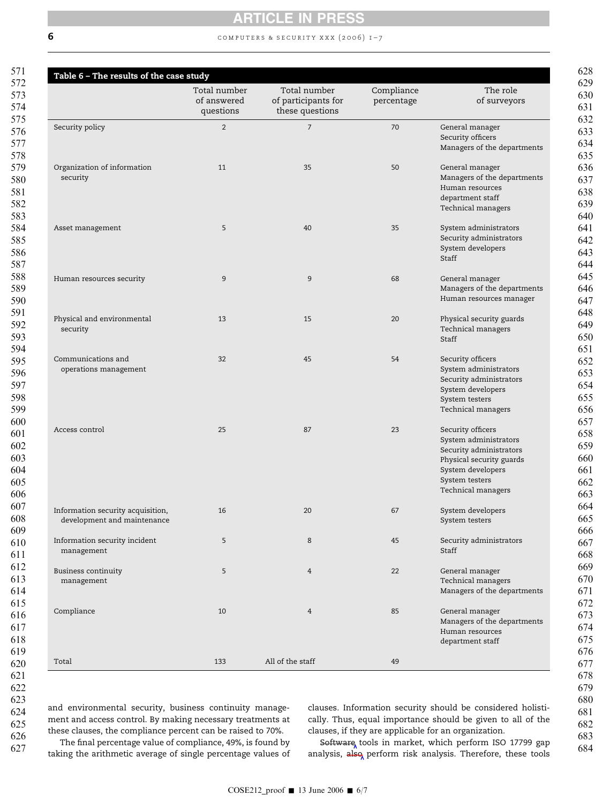<span id="page-6-0"></span>

## 6 **6 computers & SECURITY XXX** (2006)  $I - 7$

|                                                                  | Total number<br>of answered<br>questions | Total number<br>of participants for<br>these questions | Compliance<br>percentage | The role<br>of surveyors                                                                                                                                       |
|------------------------------------------------------------------|------------------------------------------|--------------------------------------------------------|--------------------------|----------------------------------------------------------------------------------------------------------------------------------------------------------------|
| Security policy                                                  | 2                                        | $\overline{7}$                                         | 70                       | General manager<br>Security officers<br>Managers of the departments                                                                                            |
| Organization of information<br>security                          | 11                                       | 35                                                     | 50                       | General manager<br>Managers of the departments<br>Human resources<br>department staff<br>Technical managers                                                    |
| Asset management                                                 | 5                                        | 40                                                     | 35                       | System administrators<br>Security administrators<br>System developers<br>Staff                                                                                 |
| Human resources security                                         | 9                                        | $\overline{9}$                                         | 68                       | General manager<br>Managers of the departments<br>Human resources manager                                                                                      |
| Physical and environmental<br>security                           | 13                                       | 15                                                     | 20                       | Physical security guards<br>Technical managers<br>Staff                                                                                                        |
| Communications and<br>operations management                      | 32                                       | 45                                                     | 54                       | Security officers<br>System administrators<br>Security administrators<br>System developers<br>System testers<br>Technical managers                             |
| Access control                                                   | 25                                       | 87                                                     | 23                       | Security officers<br>System administrators<br>Security administrators<br>Physical security guards<br>System developers<br>System testers<br>Technical managers |
| Information security acquisition,<br>development and maintenance | 16                                       | 20                                                     | 67                       | System developers<br>System testers                                                                                                                            |
| Information security incident<br>management                      | 5                                        | 8                                                      | 45                       | Security administrators<br>Staff                                                                                                                               |
| <b>Business continuity</b><br>management                         | 5                                        | $\overline{4}$                                         | 22                       | General manager<br>Technical managers<br>Managers of the departments                                                                                           |
| Compliance                                                       | 10                                       | $\overline{4}$                                         | 85                       | General manager<br>Managers of the departments<br>Human resources<br>department staff                                                                          |
| Total                                                            | 133                                      | All of the staff                                       | 49                       |                                                                                                                                                                |

622

623 624

625 626 627

and environmental security, business continuity management and access control. By making necessary treatments at these clauses, the compliance percent can be raised to 70%.

clauses. Information security should be considered holistically. Thus, equal importance should be given to all of the clauses, if they are applicable for an organization.

The final percentage value of compliance, 49%, is found by taking the arithmetic average of single percentage values of

Software tools in market, which perform ISO 17799 gap analysis, also perform risk analysis. Therefore, these tools

COSE212\_proof  $\blacksquare$  13 June 2006  $\blacksquare$  6/7